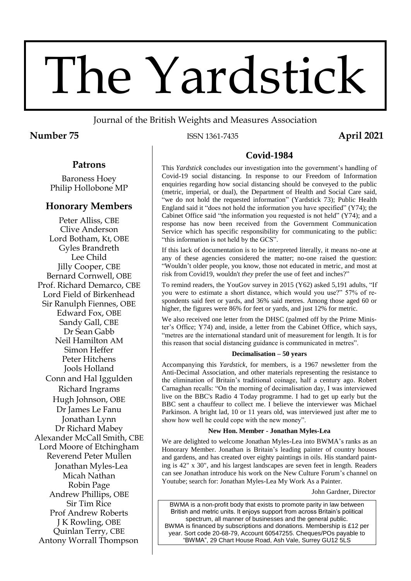# The Yardstick

Journal of the British Weights and Measures Association

# **Number 75** ISSN 1361-7435 **April 2021**

# **Patrons**

Baroness Hoey Philip Hollobone MP

# **Honorary Members**

Peter Alliss, CBE Clive Anderson Lord Botham, Kt, OBE Gyles Brandreth Lee Child Jilly Cooper, CBE Bernard Cornwell, OBE Prof. Richard Demarco, CBE Lord Field of Birkenhead Sir Ranulph Fiennes, OBE Edward Fox, OBE Sandy Gall, CBE Dr Sean Gabb Neil Hamilton AM Simon Heffer Peter Hitchens Jools Holland Conn and Hal Iggulden Richard Ingrams Hugh Johnson, OBE Dr James Le Fanu Jonathan Lynn Dr Richard Mabey Alexander McCall Smith, CBE Lord Moore of Etchingham Reverend Peter Mullen Jonathan Myles-Lea Micah Nathan Robin Page Andrew Phillips, OBE Sir Tim Rice Prof Andrew Roberts J K Rowling, OBE Quinlan Terry, CBE Antony Worrall Thompson

# **Covid-1984**

This *Yardstick* concludes our investigation into the government's handling of Covid-19 social distancing. In response to our Freedom of Information enquiries regarding how social distancing should be conveyed to the public (metric, imperial, or dual), the Department of Health and Social Care said, "we do not hold the requested information" (Yardstick 73); Public Health England said it "does not hold the information you have specified" (Y74); the Cabinet Office said "the information you requested is not held" (Y74); and a response has now been received from the Government Communication Service which has specific responsibility for communicating to the public: "this information is not held by the GCS".

If this lack of documentation is to be interpreted literally, it means no-one at any of these agencies considered the matter; no-one raised the question: "Wouldn't older people, you know, those not educated in metric, and most at risk from Covid19, wouldn't *they* prefer the use of feet and inches?"

To remind readers, the YouGov survey in 2015 (Y62) asked 5,191 adults, "If you were to estimate a short distance, which would you use?" 57% of respondents said feet or yards, and 36% said metres. Among those aged 60 or higher, the figures were 86% for feet or yards, and just 12% for metric.

We also received one letter from the DHSC (palmed off by the Prime Minister's Office; Y74) and, inside, a letter from the Cabinet Office, which says, "metres are the international standard unit of measurement for length. It is for this reason that social distancing guidance is communicated in metres".

#### **Decimalisation – 50 years**

Accompanying this *Yardstick*, for members, is a 1967 newsletter from the Anti-Decimal Association, and other materials representing the resistance to the elimination of Britain's traditional coinage, half a century ago. Robert Carnaghan recalls: "On the morning of decimalisation day, I was interviewed live on the BBC's Radio 4 Today programme. I had to get up early but the BBC sent a chauffeur to collect me. I believe the interviewer was Michael Parkinson. A bright lad, 10 or 11 years old, was interviewed just after me to show how well he could cope with the new money".

#### **New Hon. Member - Jonathan Myles-Lea**

We are delighted to welcome Jonathan Myles-Lea into BWMA's ranks as an Honorary Member. Jonathan is Britain's leading painter of country houses and gardens, and has created over eighty paintings in oils. His standard painting is 42" x 30", and his largest landscapes are seven feet in length. Readers can see Jonathan introduce his work on the New Culture Forum's channel on Youtube; search for: Jonathan Myles-Lea My Work As a Painter.

John Gardner, Director

BWMA is a non-profit body that exists to promote parity in law between British and metric units. It enjoys support from across Britain's political spectrum, all manner of businesses and the general public. BWMA is financed by subscriptions and donations. Membership is £12 per year. Sort code 20-68-79, Account 60547255. Cheques/POs payable to "BWMA", 29 Chart House Road, Ash Vale, Surrey GU12 5LS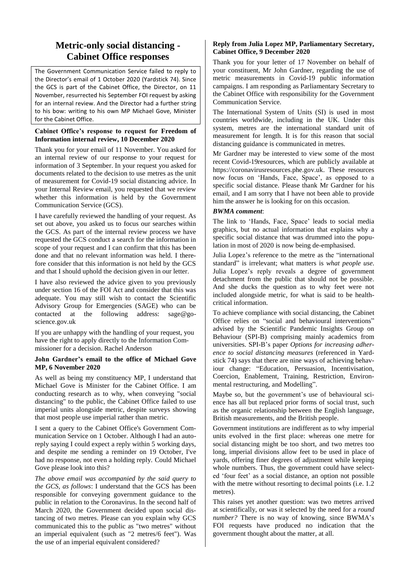# **Metric-only social distancing - Cabinet Office responses**

The Government Communication Service failed to reply to the Director's email of 1 October 2020 (Yardstick 74). Since the GCS is part of the Cabinet Office, the Director, on 11 November, resurrected his September FOI request by asking for an internal review. And the Director had a further string to his bow: writing to his own MP Michael Gove, Minister for the Cabinet Office.

#### **Cabinet Office's response to request for Freedom of Information internal review, 10 December 2020**

Thank you for your email of 11 November. You asked for an internal review of our response to your request for information of 3 September. In your request you asked for documents related to the decision to use metres as the unit of measurement for Covid-19 social distancing advice. In your Internal Review email, you requested that we review whether this information is held by the Government Communication Service (GCS).

I have carefully reviewed the handling of your request. As set out above, you asked us to focus our searches within the GCS. As part of the internal review process we have requested the GCS conduct a search for the information in scope of your request and I can confirm that this has been done and that no relevant information was held. I therefore consider that this information is not held by the GCS and that I should uphold the decision given in our letter.

I have also reviewed the advice given to you previously under section 16 of the FOI Act and consider that this was adequate. You may still wish to contact the Scientific Advisory Group for Emergencies (SAGE) who can be contacted at the following address: sage@goscience.gov.uk

If you are unhappy with the handling of your request, you have the right to apply directly to the Information Commissioner for a decision. Rachel Anderson

#### **John Gardner's email to the office of Michael Gove MP, 6 November 2020**

As well as being my constituency MP, I understand that Michael Gove is Minister for the Cabinet Office. I am conducting research as to why, when conveying "social distancing" to the public, the Cabinet Office failed to use imperial units alongside metric, despite surveys showing that most people use imperial rather than metric.

I sent a query to the Cabinet Office's Government Communication Service on 1 October. Although I had an autoreply saying I could expect a reply within 5 working days, and despite me sending a reminder on 19 October, I've had no response, not even a holding reply. Could Michael Gove please look into this?

*The above email was accompanied by the said query to the GCS, as follows*: I understand that the GCS has been responsible for conveying government guidance to the public in relation to the Coronavirus. In the second half of March 2020, the Government decided upon social distancing of two metres. Please can you explain why GCS communicated this to the public as "two metres" without an imperial equivalent (such as "2 metres/6 feet"). Was the use of an imperial equivalent considered?

#### **Reply from Julia Lopez MP, Parliamentary Secretary, Cabinet Office, 9 December 2020**

Thank you for your letter of 17 November on behalf of your constituent, Mr John Gardner, regarding the use of metric measurements in Covid-19 public information campaigns. I am responding as Parliamentary Secretary to the Cabinet Office with responsibility for the Government Communication Service.

The International System of Units (SI) is used in most countries worldwide, including in the UK. Under this system, metres are the international standard unit of measurement for length. It is for this reason that social distancing guidance is communicated in metres.

Mr Gardner may be interested to view some of the most recent Covid-19resources, which are publicly available at https://coronavirusresources.phe.gov.uk. These resources now focus on 'Hands, Face, Space', as opposed to a specific social distance. Please thank Mr Gardner for his email, and I am sorry that I have not been able to provide him the answer he is looking for on this occasion.

#### *BWMA comment*:

The link to 'Hands, Face, Space' leads to social media graphics, but no actual information that explains why a specific social distance that was drummed into the population in most of 2020 is now being de-emphasised.

Julia Lopez's reference to the metre as the "international standard" is irrelevant; what matters is *what people use*. Julia Lopez's reply reveals a degree of government detachment from the public that should not be possible. And she ducks the question as to why feet were not included alongside metric, for what is said to be healthcritical information.

To achieve compliance with social distancing, the Cabinet Office relies on "social and behavioural interventions" advised by the Scientific Pandemic Insights Group on Behaviour (SPI-B) comprising mainly academics from universities. SPI-B's paper *Options for increasing adherence to social distancing measures* (referenced in Yardstick 74) says that there are nine ways of achieving behaviour change: "Education, Persuasion, Incentivisation, Coercion, Enablement, Training, Restriction, Environmental restructuring, and Modelling".

Maybe so, but the government's use of behavioural science has all but replaced prior forms of social trust, such as the organic relationship between the English language, British measurements, and the British people.

Government institutions are indifferent as to why imperial units evolved in the first place: whereas one metre for social distancing might be too short, and two metres too long, imperial divisions allow feet to be used in place of yards, offering finer degrees of adjustment while keeping whole numbers. Thus, the government could have selected 'four feet' as a social distance, an option not possible with the metre without resorting to decimal points (i.e. 1.2) metres).

This raises yet another question: was two metres arrived at scientifically, or was it selected by the need for a *round number?* There is no way of knowing, since BWMA's FOI requests have produced no indication that the government thought about the matter, at all.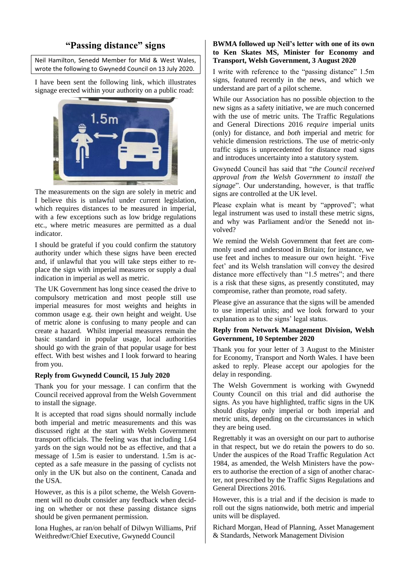# **"Passing distance" signs**

Neil Hamilton, Senedd Member for Mid & West Wales, wrote the following to Gwynedd Council on 13 July 2020.

I have been sent the following link, which illustrates signage erected within your authority on a public road:



The measurements on the sign are solely in metric and I believe this is unlawful under current legislation, which requires distances to be measured in imperial, with a few exceptions such as low bridge regulations etc., where metric measures are permitted as a dual indicator.

I should be grateful if you could confirm the statutory authority under which these signs have been erected and, if unlawful that you will take steps either to replace the sign with imperial measures or supply a dual indication in imperial as well as metric.

The UK Government has long since ceased the drive to compulsory metrication and most people still use imperial measures for most weights and heights in common usage e.g. their own height and weight. Use of metric alone is confusing to many people and can create a hazard. Whilst imperial measures remain the basic standard in popular usage, local authorities should go with the grain of that popular usage for best effect. With best wishes and I look forward to hearing from you.

#### **Reply from Gwynedd Council, 15 July 2020**

Thank you for your message. I can confirm that the Council received approval from the Welsh Government to install the signage.

It is accepted that road signs should normally include both imperial and metric measurements and this was discussed right at the start with Welsh Government transport officials. The feeling was that including 1.64 yards on the sign would not be as effective, and that a message of 1.5m is easier to understand. 1.5m is accepted as a safe measure in the passing of cyclists not only in the UK but also on the continent, Canada and the USA.

However, as this is a pilot scheme, the Welsh Government will no doubt consider any feedback when deciding on whether or not these passing distance signs should be given permanent permission.

Iona Hughes, ar ran/on behalf of Dilwyn Williams, Prif Weithredwr/Chief Executive, Gwynedd Council

#### **BWMA followed up Neil's letter with one of its own to Ken Skates MS, Minister for Economy and Transport, Welsh Government, 3 August 2020**

I write with reference to the "passing distance" 1.5m signs, featured recently in the news, and which we understand are part of a pilot scheme.

While our Association has no possible objection to the new signs as a safety initiative, we are much concerned with the use of metric units. The Traffic Regulations and General Directions 2016 *require* imperial units (only) for distance, and *both* imperial and metric for vehicle dimension restrictions. The use of metric-only traffic signs is unprecedented for distance road signs and introduces uncertainty into a statutory system.

Gwynedd Council has said that "*the Council received approval from the Welsh Government to install the signage*". Our understanding, however, is that traffic signs are controlled at the UK level.

Please explain what is meant by "approved"; what legal instrument was used to install these metric signs, and why was Parliament and/or the Senedd not involved?

We remind the Welsh Government that feet are commonly used and understood in Britain; for instance, we use feet and inches to measure our own height. 'Five feet' and its Welsh translation will convey the desired distance more effectively than "1.5 metres"; and there is a risk that these signs, as presently constituted, may compromise, rather than promote, road safety.

Please give an assurance that the signs will be amended to use imperial units; and we look forward to your explanation as to the signs' legal status.

#### **Reply from Network Management Division, Welsh Government, 10 September 2020**

Thank you for your letter of 3 August to the Minister for Economy, Transport and North Wales. I have been asked to reply. Please accept our apologies for the delay in responding.

The Welsh Government is working with Gwynedd County Council on this trial and did authorise the signs. As you have highlighted, traffic signs in the UK should display only imperial or both imperial and metric units, depending on the circumstances in which they are being used.

Regrettably it was an oversight on our part to authorise in that respect, but we do retain the powers to do so. Under the auspices of the Road Traffic Regulation Act 1984, as amended, the Welsh Ministers have the powers to authorise the erection of a sign of another character, not prescribed by the Traffic Signs Regulations and General Directions 2016.

However, this is a trial and if the decision is made to roll out the signs nationwide, both metric and imperial units will be displayed.

Richard Morgan, Head of Planning, Asset Management & Standards, Network Management Division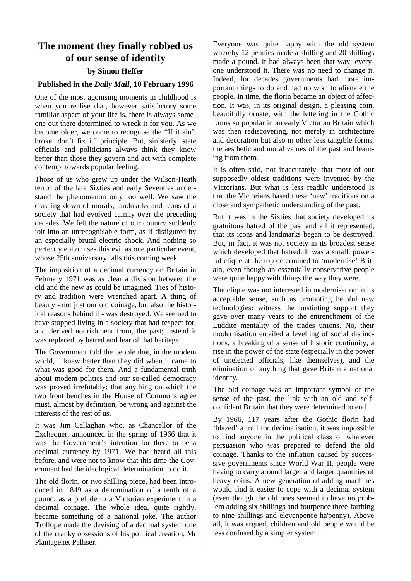# **The moment they finally robbed us of our sense of identity**

# **by Simon Heffer**

#### **Published in the** *Daily Mail***, 10 February 1996**

One of the most agonising moments in childhood is when you realise that, however satisfactory some familiar aspect of your life is, there is always someone out there determined to wreck it for you. As we become older, we come to recognise the "If it ain't broke, don't fix it" principle. But, sinisterly, state officials and politicians always think they know better than those they govern and act with complete contempt towards popular feeling.

Those of us who grew up under the Wilson-Heath terror of the late Sixties and early Seventies understand the phenomenon only too well. We saw the crashing down of morals, landmarks and icons of a society that had evolved calmly over the preceding decades. We felt the nature of our country suddenly jolt into an unrecognisable form, as if disfigured by an especially brutal electric shock. And nothing so perfectly epitomises this evil as one particular event, whose 25th anniversary falls this coming week.

The imposition of a decimal currency on Britain in February 1971 was as clear a division between the old and the new as could be imagined. Ties of history and tradition were wrenched apart. A thing of beauty - not just our old coinage, but also the historical reasons behind it - was destroyed. We seemed to have stopped living in a society that had respect for, and derived nourishment from, the past; instead it was replaced by hatred and fear of that heritage.

The Government told the people that, in the modem world, it knew better than they did when it came to what was good for them. And a fundamental truth about modem politics and our so-called democracy was proved irrefutably: that anything on which the two front benches in the House of Commons agree must, almost by definition, be wrong and against the interests of the rest of us.

It was Jim Callaghan who, as Chancellor of the Exchequer, announced in the spring of 1966 that it was the Government's intention for there to be a decimal currency by 1971. We had heard all this before, and were not to know that this time the Government had the ideological determination to do it.

The old florin, or two shilling piece, had been introduced in 1849 as a denomination of a tenth of a pound, as a prelude to a Victorian experiment in a decimal coinage. The whole idea, quite rightly, became something of a national joke. The author Trollope made the devising of a decimal system one of the cranky obsessions of his political creation, Mr Plantagenet Palliser.

Everyone was quite happy with the old system whereby 12 pennies made a shilling and 20 shillings made a pound. It had always been that way; everyone understood it. There was no need to change it. Indeed, for decades governments had more important things to do and had no wish to alienate the people. In time, the florin became an object of affection. It was, in its original design, a pleasing coin, beautifully ornate, with the lettering in the Gothic forms so popular in an early Victorian Britain which was then rediscovering, not merely in architecture and decoration but also in other less tangible forms, the aesthetic and moral values of the past and learning from them.

It is often said, not inaccurately, that most of our supposedly oldest traditions were invented by the Victorians. But what is less readily understood is that the Victorians based these 'new' traditions on a close and sympathetic understanding of the past.

But it was in the Sixties that society developed its gratuitous hatred of the past and all it represented, that its icons and landmarks began to be destroyed. But, in fact, it was not society in its broadest sense which developed that hatred. It was a small, powerful clique at the top determined to 'modernise' Britain, even though an essentially conservative people were quite happy with things the way they were.

The clique was not interested in modernisation in its acceptable sense, such as promoting helpful new technologies: witness the unstinting support they gave over many years to the entrenchment of the Luddite mentality of the trades unions. No, their modernisation entailed a levelling of social distinctions, a breaking of a sense of historic continuity, a rise in the power of the state (especially in the power of unelected officials, like themselves), and the elimination of anything that gave Britain a national identity.

The old coinage was an important symbol of the sense of the past, the link with an old and selfconfident Britain that they were determined to end.

By 1966, 117 years after the Gothic florin had 'blazed' a trail for decimalisation, it was impossible to find anyone in the political class of whatever persuasion who was prepared to defend the old coinage. Thanks to the inflation caused by successive governments since World War II, people were having to carry around larger and larger quantities of heavy coins. A new generation of adding machines would find it easier to cope with a decimal system (even though the old ones seemed to have no problem adding six shillings and fourpence three-farthing to nine shillings and elevenpence ha'penny). Above all, it was argued, children and old people would be less confused by a simpler system.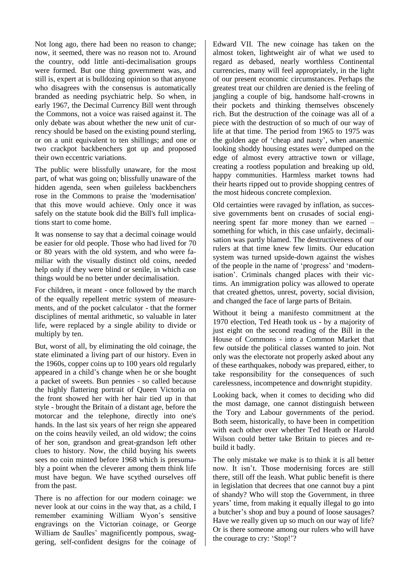Not long ago, there had been no reason to change; now, it seemed, there was no reason not to. Around the country, odd little anti-decimalisation groups were formed. But one thing government was, and still is, expert at is bulldozing opinion so that anyone who disagrees with the consensus is automatically branded as needing psychiatric help. So when, in early 1967, the Decimal Currency Bill went through the Commons, not a voice was raised against it. The only debate was about whether the new unit of currency should be based on the existing pound sterling, or on a unit equivalent to ten shillings; and one or two crackpot backbenchers got up and proposed their own eccentric variations.

The public were blissfully unaware, for the most part, of what was going on; blissfully unaware of the hidden agenda, seen when guileless backbenchers rose in the Commons to praise the 'modernisation' that this move would achieve. Only once it was safely on the statute book did the Bill's full implications start to come home.

It was nonsense to say that a decimal coinage would be easier for old people. Those who had lived for 70 or 80 years with the old system, and who were familiar with the visually distinct old coins, needed help only if they were blind or senile, in which case things would be no better under decimalisation.

For children, it meant - once followed by the march of the equally repellent metric system of measurements, and of the pocket calculator - that the former disciplines of mental arithmetic, so valuable in later life, were replaced by a single ability to divide or multiply by ten.

But, worst of all, by eliminating the old coinage, the state eliminated a living part of our history. Even in the 1960s, copper coins up to 100 years old regularly appeared in a child's change when he or she bought a packet of sweets. Bun pennies - so called because the highly flattering portrait of Queen Victoria on the front showed her with her hair tied up in that style - brought the Britain of a distant age, before the motorcar and the telephone, directly into one's hands. In the last six years of her reign she appeared on the coins heavily veiled, an old widow; the coins of her son, grandson and great-grandson left other clues to history. Now, the child buying his sweets sees no coin minted before 1968 which is presumably a point when the cleverer among them think life must have begun. We have scythed ourselves off from the past.

There is no affection for our modern coinage: we never look at our coins in the way that, as a child, I remember examining William Wyon's sensitive engravings on the Victorian coinage, or George William de Saulles' magnificently pompous, swaggering, self-confident designs for the coinage of

Edward VII. The new coinage has taken on the almost token, lightweight air of what we used to regard as debased, nearly worthless Continental currencies, many will feel appropriately, in the light of our present economic circumstances. Perhaps the greatest treat our children are denied is the feeling of jangling a couple of big, handsome half-crowns in their pockets and thinking themselves obscenely rich. But the destruction of the coinage was all of a piece with the destruction of so much of our way of life at that time. The period from 1965 to 1975 was the golden age of 'cheap and nasty', when anaemic looking shoddy housing estates were dumped on the edge of almost every attractive town or village, creating a rootless population and breaking up old, happy communities. Harmless market towns had their hearts ripped out to provide shopping centres of the most hideous concrete complexion.

Old certainties were ravaged by inflation, as successive governments bent on crusades of social engineering spent far more money than we earned – something for which, in this case unfairly, decimalisation was partly blamed. The destructiveness of our rulers at that time knew few limits. Our education system was turned upside-down against the wishes of the people in the name of 'progress' and 'modernisation'. Criminals changed places with their victims. An immigration policy was allowed to operate that created ghettos, unrest, poverty, social division, and changed the face of large parts of Britain.

Without it being a manifesto commitment at the 1970 election, Ted Heath took us - by a majority of just eight on the second reading of the Bill in the House of Commons - into a Common Market that few outside the political classes wanted to join. Not only was the electorate not properly asked about any of these earthquakes, nobody was prepared, either, to take responsibility for the consequences of such carelessness, incompetence and downright stupidity.

Looking back, when it comes to deciding who did the most damage, one cannot distinguish between the Tory and Labour governments of the period. Both seem, historically, to have been in competition with each other over whether Ted Heath or Harold Wilson could better take Britain to pieces and rebuild it badly.

The only mistake we make is to think it is all better now. It isn't. Those modernising forces are still there, still off the leash. What public benefit is there in legislation that decrees that one cannot buy a pint of shandy? Who will stop the Government, in three years' time, from making it equally illegal to go into a butcher's shop and buy a pound of loose sausages? Have we really given up so much on our way of life? Or is there someone among our rulers who will have the courage to cry: 'Stop!'?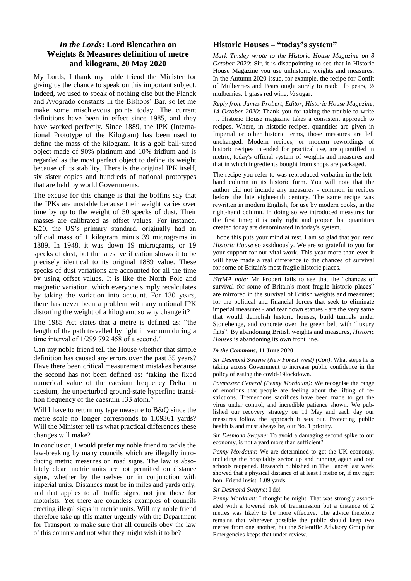#### *In the Lords***: Lord Blencathra on Weights & Measures definition of metre and kilogram, 20 May 2020**

My Lords, I thank my noble friend the Minister for giving us the chance to speak on this important subject. Indeed, we used to speak of nothing else but the Planck and Avogrado constants in the Bishops' Bar, so let me make some mischievous points today. The current definitions have been in effect since 1985, and they have worked perfectly. Since 1889, the IPK (International Prototype of the Kilogram) has been used to define the mass of the kilogram. It is a golf ball-sized object made of 90% platinum and 10% iridium and is regarded as the most perfect object to define its weight because of its stability. There is the original IPK itself, six sister copies and hundreds of national prototypes that are held by world Governments.

The excuse for this change is that the boffins say that the IPKs are unstable because their weight varies over time by up to the weight of 50 specks of dust. Their masses are calibrated as offset values. For instance, K20, the US's primary standard, originally had an official mass of 1 kilogram minus 39 micrograms in 1889. In 1948, it was down 19 micrograms, or 19 specks of dust, but the latest verification shows it to be precisely identical to its original 1889 value. These specks of dust variations are accounted for all the time by using offset values. It is like the North Pole and magnetic variation, which everyone simply recalculates by taking the variation into account. For 130 years, there has never been a problem with any national IPK distorting the weight of a kilogram, so why change it?

The 1985 Act states that a metre is defined as: "the length of the path travelled by light in vacuum during a time interval of 1/299 792 458 of a second."

Can my noble friend tell the House whether that simple definition has caused any errors over the past 35 years? Have there been critical measurement mistakes because the second has not been defined as: "taking the fixed numerical value of the caesium frequency Delta nu caesium, the unperturbed ground-state hyperfine transition frequency of the caesium 133 atom."

Will I have to return my tape measure to B&Q since the metre scale no longer corresponds to 1.09361 yards? Will the Minister tell us what practical differences these changes will make?

In conclusion, I would prefer my noble friend to tackle the law-breaking by many councils which are illegally introducing metric measures on road signs. The law is absolutely clear: metric units are not permitted on distance signs, whether by themselves or in conjunction with imperial units. Distances must be in miles and yards only, and that applies to all traffic signs, not just those for motorists. Yet there are countless examples of councils erecting illegal signs in metric units. Will my noble friend therefore take up this matter urgently with the Department for Transport to make sure that all councils obey the law of this country and not what they might wish it to be?

#### **Historic Houses – "today's system"**

*Mark Tinsley wrote to the Historic House Magazine on 8 October 2020*: Sir, it is disappointing to see that in Historic House Magazine you use unhistoric weights and measures. In the Autumn 2020 issue, for example, the recipe for Confit of Mulberries and Pears ought surely to read: 1lb pears, ½ mulberries, 1 glass red wine, ½ sugar.

*Reply from James Probert, Editor, Historic House Magazine, 14 October 2020*: Thank you for taking the trouble to write … Historic House magazine takes a consistent approach to recipes. Where, in historic recipes, quantities are given in Imperial or other historic terms, those measures are left unchanged. Modern recipes, or modern rewordings of historic recipes intended for practical use, are quantified in metric, today's official system of weights and measures and that in which ingredients bought from shops are packaged.

The recipe you refer to was reproduced verbatim in the lefthand column in its historic form. You will note that the author did not include any measures - common in recipes before the late eighteenth century. The same recipe was rewritten in modern English, for use by modern cooks, in the right-hand column. In doing so we introduced measures for the first time; it is only right and proper that quantities created today are denominated in today's system.

I hope this puts your mind at rest. I am so glad that you read *Historic House* so assiduously. We are so grateful to you for your support for our vital work. This year more than ever it will have made a real difference to the chances of survival for some of Britain's most fragile historic places.

*BWMA note:* Mr Probert fails to see that the "chances of survival for some of Britain's most fragile historic places" are mirrored in the survival of British weights and measures; for the political and financial forces that seek to eliminate imperial measures - and tear down statues - are the very same that would demolish historic houses, build tunnels under Stonehenge, and concrete over the green belt with "luxury flats". By abandoning British weights and measures, *Historic Houses* is abandoning its own front line.

#### *In the Commons***, 11 June 2020**

*Sir Desmond Swayne (New Forest West) (Con)*: What steps he is taking across Government to increase public confidence in the policy of easing the covid-19lockdown.

*Pavmaster General (Penny Mordaunt)*: We recognise the range of emotions that people are feeling about the lifting of restrictions. Tremendous sacrifices have been made to get the virus under control, and incredible patience shown. We published our recovery strategy on 11 May and each day our measures follow the approach it sets out. Protecting public health is and must always be, our No. 1 priority.

*Sir Desmond Swayne*: To avoid a damaging second spike to our economy, is not a yard more than sufficient?

*Penny Mordaunt*: We are determined to get the UK economy, including the hospitality sector up and running again and our schools reopened. Research published in The Lancet last week showed that a physical distance of at least I metre or, if my right hon. Friend insist, 1.09 yards.

#### *Sir Desmond Swayne*: I do!

*Penny Mordaunt*: I thought he might. That was strongly associated with a lowered risk of transmission but a distance of 2 metres was likely to be more effective. The advice therefore remains that wherever possible the public should keep two metres from one another, but the Scientific Advisory Group for Emergencies keeps that under review.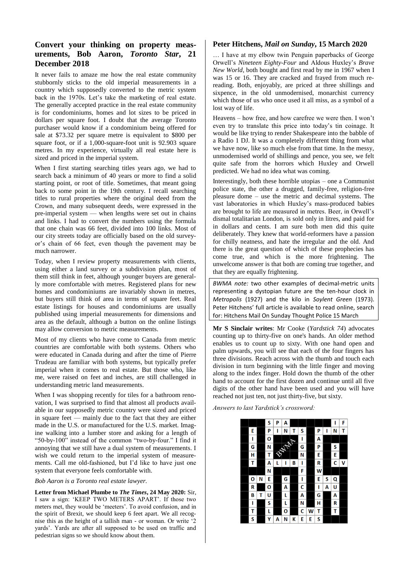### **Convert your thinking on property measurements, Bob Aaron,** *Toronto Star***, 21 December 2018**

It never fails to amaze me how the real estate community stubbornly sticks to the old imperial measurements in a country which supposedly converted to the metric system back in the 1970s. Let's take the marketing of real estate. The generally accepted practice in the real estate community is for condominiums, homes and lot sizes to be priced in dollars per square foot. I doubt that the average Toronto purchaser would know if a condominium being offered for sale at \$73.32 per square metre is equivalent to \$800 per square foot, or if a 1,000-square-foot unit is 92.903 square metres. In my experience, virtually all real estate here is sized and priced in the imperial system.

When I first starting searching titles years ago, we had to search back a minimum of 40 years or more to find a solid starting point, or root of title. Sometimes, that meant going back to some point in the 19th century. I recall searching titles to rural properties where the original deed from the Crown, and many subsequent deeds, were expressed in the pre-imperial system — when lengths were set out in chains and links. I had to convert the numbers using the formula that one chain was 66 feet, divided into 100 links. Most of our city streets today are officially based on the old surveyor's chain of 66 feet, even though the pavement may be much narrower.

Today, when I review property measurements with clients, using either a land survey or a subdivision plan, most of them still think in feet, although younger buyers are generally more comfortable with metres. Registered plans for new homes and condominiums are invariably shown in metres, but buyers still think of area in terms of square feet. Real estate listings for houses and condominiums are usually published using imperial measurements for dimensions and area as the default, although a button on the online listings may allow conversion to metric measurements.

Most of my clients who have come to Canada from metric countries are comfortable with both systems. Others who were educated in Canada during and after the time of Pierre Trudeau are familiar with both systems, but typically prefer imperial when it comes to real estate. But those who, like me, were raised on feet and inches, are still challenged in understanding metric land measurements.

When I was shopping recently for tiles for a bathroom renovation, I was surprised to find that almost all products available in our supposedly metric country were sized and priced in square feet — mainly due to the fact that they are either made in the U.S. or manufactured for the U.S. market. Imagine walking into a lumber store and asking for a length of "50-by-100" instead of the common "two-by-four." I find it annoying that we still have a dual system of measurements. I wish we could return to the imperial system of measurements. Call me old-fashioned, but I'd like to have just one system that everyone feels comfortable with.

*Bob Aaron is a Toronto real estate lawyer.*

**Letter from Michael Plumbe to** *The Times***, 24 May 2020:** Sir, I saw a sign: 'KEEP TWO METERS APART'. If those two meters met, they would be 'meeters'. To avoid confusion, and in the spirit of Brexit, we should keep 6 feet apart. We all recognise this as the height of a tallish man - or woman. Or write '2 yards'. Yards are after all supposed to be used on traffic and pedestrian signs so we should know about them.

#### **Peter Hitchens,** *Mail on Sunday***, 15 March 2020**

… I have at my elbow twin Penguin paperbacks of George Orwell's *Nineteen Eighty-Four* and Aldous Huxley's *Brave New World*, both bought and first read by me in 1967 when I was 15 or 16. They are cracked and frayed from much rereading. Both, enjoyably, are priced at three shillings and sixpence, in the old unmodernised, monarchist currency which those of us who once used it all miss, as a symbol of a lost way of life.

Heavens – how free, and how carefree we were then. I won't even try to translate this price into today's tin coinage. It would be like trying to render Shakespeare into the babble of a Radio 1 DJ. It was a completely different thing from what we have now, like so much else from that time. In the messy, unmodernised world of shillings and pence, you see, we felt quite safe from the horrors which Huxley and Orwell predicted. We had no idea what was coming.

Interestingly, both these horrible utopias – one a Communist police state, the other a drugged, family-free, religion-free pleasure dome – use the metric and decimal systems. The vast laboratories in which Huxley's mass-produced babies are brought to life are measured in metres. Beer, in Orwell's dismal totalitarian London, is sold only in litres, and paid for in dollars and cents. I am sure both men did this quite deliberately. They knew that world-reformers have a passion for chilly neatness, and hate the irregular and the old. And there is the great question of which of these prophecies has come true, and which is the more frightening. The unwelcome answer is that both are coming true together, and that they are equally frightening.

*BWMA note:* two other examples of decimal-metric units representing a dystopian future are the ten-hour clock in *Metropolis* (1927) and the kilo in *Soylent Green* (1973). Peter Hitchens' full article is available to read online, search for: Hitchens Mail On Sunday Thought Police 15 March

**Mr S Sinclair writes**: Mr Cooke (*Yardstick 74*) advocates counting up to thirty-five on one's hands. An older method enables us to count up to sixty. With one hand open and palm upwards, you will see that each of the four fingers has three divisions. Reach across with the thumb and touch each division in turn beginning with the little finger and moving along to the index finger. Hold down the thumb of the other hand to account for the first dozen and continue until all five digits of the other hand have been used and you will have reached not just ten, not just thirty-five, but sixty.

*Answers to last Yardstick's crossword:*